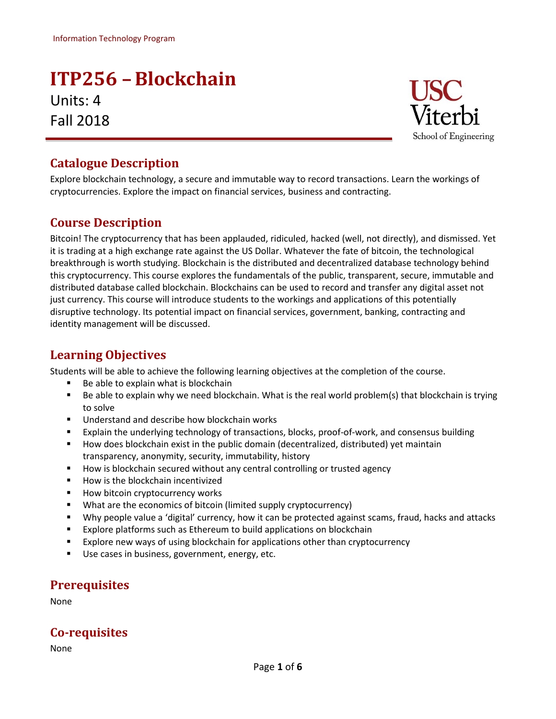# **ITP256 –Blockchain** Units: 4 Fall 2018



### **Catalogue Description**

Explore blockchain technology, a secure and immutable way to record transactions. Learn the workings of cryptocurrencies. Explore the impact on financial services, business and contracting.

### **Course Description**

Bitcoin! The cryptocurrency that has been applauded, ridiculed, hacked (well, not directly), and dismissed. Yet it is trading at a high exchange rate against the US Dollar. Whatever the fate of bitcoin, the technological breakthrough is worth studying. Blockchain is the distributed and decentralized database technology behind this cryptocurrency. This course explores the fundamentals of the public, transparent, secure, immutable and distributed database called blockchain. Blockchains can be used to record and transfer any digital asset not just currency. This course will introduce students to the workings and applications of this potentially disruptive technology. Its potential impact on financial services, government, banking, contracting and identity management will be discussed.

### **Learning Objectives**

Students will be able to achieve the following learning objectives at the completion of the course.

- Be able to explain what is blockchain
- Be able to explain why we need blockchain. What is the real world problem(s) that blockchain is trying to solve
- **Understand and describe how blockchain works**
- Explain the underlying technology of transactions, blocks, proof-of-work, and consensus building
- How does blockchain exist in the public domain (decentralized, distributed) yet maintain transparency, anonymity, security, immutability, history
- **How is blockchain secured without any central controlling or trusted agency**
- How is the blockchain incentivized
- **How bitcoin cryptocurrency works**
- What are the economics of bitcoin (limited supply cryptocurrency)
- Why people value a 'digital' currency, how it can be protected against scams, fraud, hacks and attacks
- **Explore platforms such as Ethereum to build applications on blockchain**
- Explore new ways of using blockchain for applications other than cryptocurrency
- Use cases in business, government, energy, etc.

### **Prerequisites**

None

### **Co-requisites**

None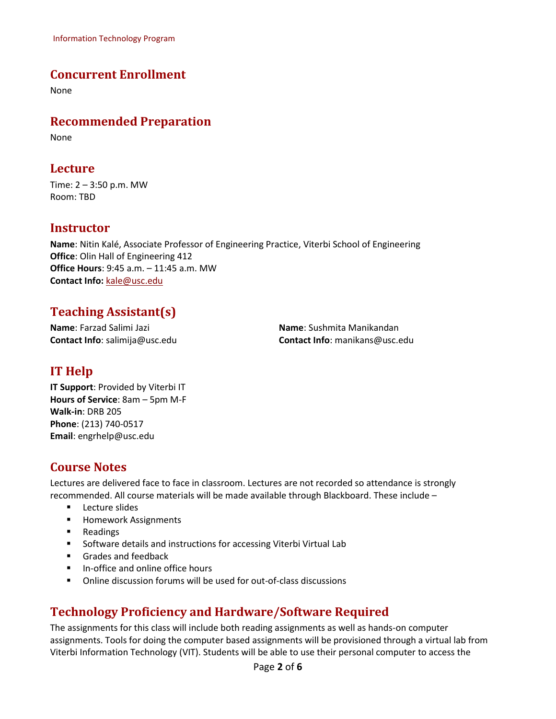Information Technology Program

#### **Concurrent Enrollment**

None

#### **Recommended Preparation**

None

#### **Lecture**

Time: 2 – 3:50 p.m. MW Room: TBD

#### **Instructor**

**Name**: Nitin Kalé, Associate Professor of Engineering Practice, Viterbi School of Engineering **Office**: Olin Hall of Engineering 412 **Office Hours**: 9:45 a.m. – 11:45 a.m. MW **Contact Info:** [kale@usc.edu](mailto:kale@usc.edu)

### **Teaching Assistant(s)**

**Name**: Farzad Salimi Jazi **Contact Info**: salimija@usc.edu **Name**: Sushmita Manikandan **Contact Info**: manikans@usc.edu

### **IT Help**

**IT Support**: Provided by Viterbi IT **Hours of Service**: 8am – 5pm M-F **Walk-in**: DRB 205 **Phone**: (213) 740-0517 **Email**: [engrhelp@usc.edu](mailto:engrhelp@usc.edu)

#### **Course Notes**

Lectures are delivered face to face in classroom. Lectures are not recorded so attendance is strongly recommended. All course materials will be made available through Blackboard. These include –

- **Lecture slides**
- **Homework Assignments**
- **Readings**
- **Software details and instructions for accessing Viterbi Virtual Lab**
- Grades and feedback
- $\blacksquare$  In-office and online office hours
- Online discussion forums will be used for out-of-class discussions

### **Technology Proficiency and Hardware/Software Required**

The assignments for this class will include both reading assignments as well as hands-on computer assignments. Tools for doing the computer based assignments will be provisioned through a virtual lab from Viterbi Information Technology (VIT). Students will be able to use their personal computer to access the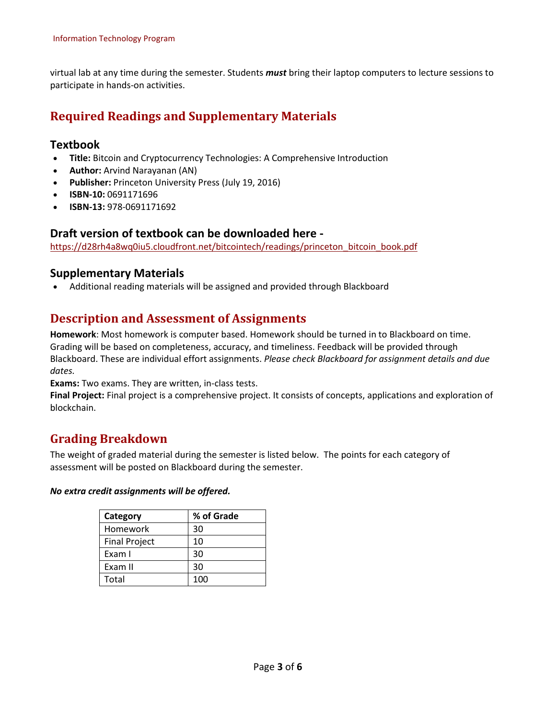virtual lab at any time during the semester. Students *must* bring their laptop computers to lecture sessions to participate in hands-on activities.

### **Required Readings and Supplementary Materials**

#### **Textbook**

- **Title:** Bitcoin and Cryptocurrency Technologies: A Comprehensive Introduction
- **Author:** Arvind Narayanan (AN)
- **Publisher:** Princeton University Press (July 19, 2016)
- **ISBN-10:** 0691171696
- **ISBN-13:** 978-0691171692

#### **Draft version of textbook can be downloaded here -**

[https://d28rh4a8wq0iu5.cloudfront.net/bitcointech/readings/princeton\\_bitcoin\\_book.pdf](https://d28rh4a8wq0iu5.cloudfront.net/bitcointech/readings/princeton_bitcoin_book.pdf)

#### **Supplementary Materials**

Additional reading materials will be assigned and provided through Blackboard

### **Description and Assessment of Assignments**

**Homework**: Most homework is computer based. Homework should be turned in to Blackboard on time. Grading will be based on completeness, accuracy, and timeliness. Feedback will be provided through Blackboard. These are individual effort assignments. *Please check Blackboard for assignment details and due dates.*

**Exams:** Two exams. They are written, in-class tests.

**Final Project:** Final project is a comprehensive project. It consists of concepts, applications and exploration of blockchain.

#### **Grading Breakdown**

The weight of graded material during the semester is listed below. The points for each category of assessment will be posted on Blackboard during the semester.

#### *No extra credit assignments will be offered.*

| Category             | % of Grade |  |
|----------------------|------------|--|
| Homework             | 30         |  |
| <b>Final Project</b> | 10         |  |
| Exam I               | 30         |  |
| Exam II              | 30         |  |
| Total                | 100        |  |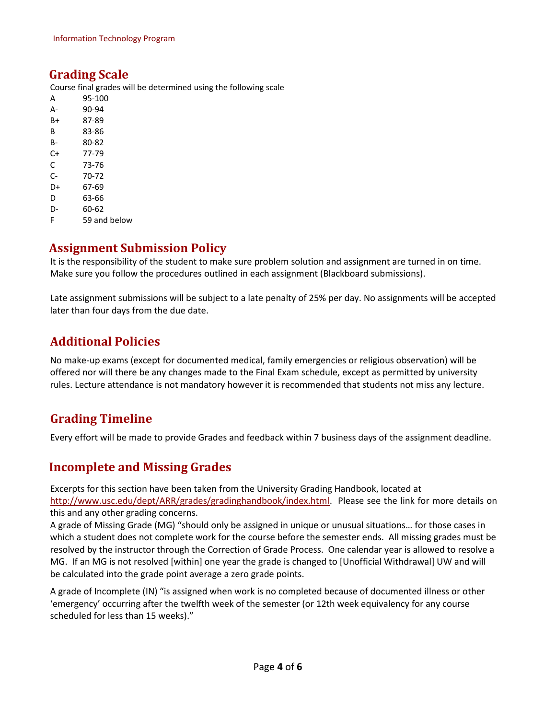#### **Grading Scale**

Course final grades will be determined using the following scale

| А  | 95-100 |
|----|--------|
| А- | 90-94  |
| B+ | 87-89  |
| В  | 83-86  |
| В- | 80-82  |
| C+ | 77-79  |
| C  | 73-76  |
| C- | 70-72  |
| D+ | 67-69  |
| D  | 63-66  |
| D- | 60-62  |
|    |        |

F 59 and below

### **Assignment Submission Policy**

It is the responsibility of the student to make sure problem solution and assignment are turned in on time. Make sure you follow the procedures outlined in each assignment (Blackboard submissions).

Late assignment submissions will be subject to a late penalty of 25% per day. No assignments will be accepted later than four days from the due date.

### **Additional Policies**

No make-up exams (except for documented medical, family emergencies or religious observation) will be offered nor will there be any changes made to the Final Exam schedule, except as permitted by university rules. Lecture attendance is not mandatory however it is recommended that students not miss any lecture.

### **Grading Timeline**

Every effort will be made to provide Grades and feedback within 7 business days of the assignment deadline.

### **Incomplete and Missing Grades**

Excerpts for this section have been taken from the University Grading Handbook, located at [http://www.usc.edu/dept/ARR/grades/gradinghandbook/index.html.](http://www.usc.edu/dept/ARR/grades/gradinghandbook/index.html) Please see the link for more details on this and any other grading concerns.

A grade of Missing Grade (MG) "should only be assigned in unique or unusual situations… for those cases in which a student does not complete work for the course before the semester ends. All missing grades must be resolved by the instructor through the Correction of Grade Process. One calendar year is allowed to resolve a MG. If an MG is not resolved [within] one year the grade is changed to [Unofficial Withdrawal] UW and will be calculated into the grade point average a zero grade points.

A grade of Incomplete (IN) "is assigned when work is no completed because of documented illness or other 'emergency' occurring after the twelfth week of the semester (or 12th week equivalency for any course scheduled for less than 15 weeks)."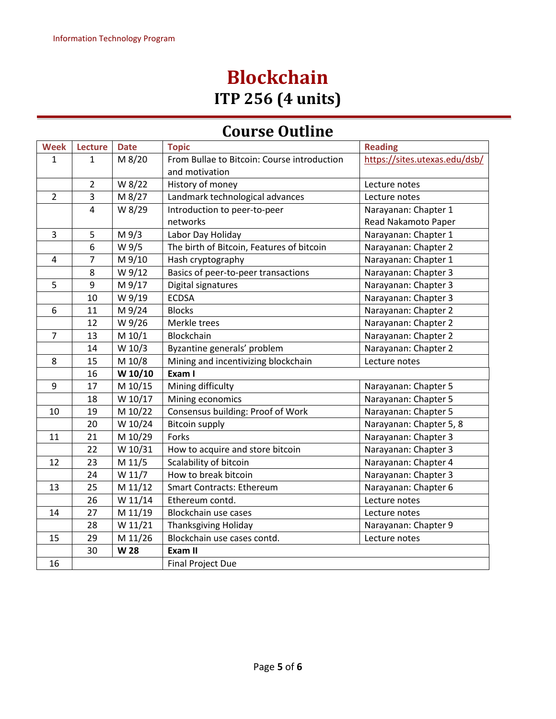# **Blockchain ITP 256 (4 units)**

## **Course Outline**

| <b>Week</b>    | <b>Lecture</b>   | <b>Date</b> | <b>Topic</b>                                                  | <b>Reading</b>                |
|----------------|------------------|-------------|---------------------------------------------------------------|-------------------------------|
| 1              | 1                | M 8/20      | From Bullae to Bitcoin: Course introduction<br>and motivation | https://sites.utexas.edu/dsb/ |
|                | $\overline{2}$   | W 8/22      | History of money                                              | Lecture notes                 |
| $\overline{2}$ | $\overline{3}$   | M 8/27      | Landmark technological advances                               | Lecture notes                 |
|                | $\overline{4}$   | W 8/29      | Introduction to peer-to-peer                                  | Narayanan: Chapter 1          |
|                |                  |             | networks                                                      | Read Nakamoto Paper           |
| 3              | 5                | M 9/3       | Labor Day Holiday                                             | Narayanan: Chapter 1          |
|                | $\boldsymbol{6}$ | W 9/5       | The birth of Bitcoin, Features of bitcoin                     | Narayanan: Chapter 2          |
| 4              | $\overline{7}$   | M 9/10      | Hash cryptography                                             | Narayanan: Chapter 1          |
|                | 8                | W 9/12      | Basics of peer-to-peer transactions                           | Narayanan: Chapter 3          |
| 5              | $\overline{9}$   | M 9/17      | Digital signatures                                            | Narayanan: Chapter 3          |
|                | 10               | W 9/19      | <b>ECDSA</b>                                                  | Narayanan: Chapter 3          |
| 6              | 11               | M 9/24      | <b>Blocks</b>                                                 | Narayanan: Chapter 2          |
|                | 12               | W 9/26      | Merkle trees                                                  | Narayanan: Chapter 2          |
| $\overline{7}$ | 13               | M 10/1      | Blockchain                                                    | Narayanan: Chapter 2          |
|                | 14               | W 10/3      | Byzantine generals' problem                                   | Narayanan: Chapter 2          |
| 8              | 15               | M 10/8      | Mining and incentivizing blockchain                           | Lecture notes                 |
|                | 16               | W 10/10     | Exam I                                                        |                               |
| 9              | 17               | M 10/15     | Mining difficulty                                             | Narayanan: Chapter 5          |
|                | 18               | W 10/17     | Mining economics                                              | Narayanan: Chapter 5          |
| 10             | 19               | M 10/22     | Consensus building: Proof of Work                             | Narayanan: Chapter 5          |
|                | 20               | W 10/24     | <b>Bitcoin supply</b>                                         | Narayanan: Chapter 5, 8       |
| 11             | 21               | M 10/29     | Forks                                                         | Narayanan: Chapter 3          |
|                | 22               | W 10/31     | How to acquire and store bitcoin                              | Narayanan: Chapter 3          |
| 12             | 23               | M 11/5      | Scalability of bitcoin                                        | Narayanan: Chapter 4          |
|                | 24               | W 11/7      | How to break bitcoin                                          | Narayanan: Chapter 3          |
| 13             | 25               | M 11/12     | <b>Smart Contracts: Ethereum</b>                              | Narayanan: Chapter 6          |
|                | 26               | W 11/14     | Ethereum contd.                                               | Lecture notes                 |
| 14             | 27               | M 11/19     | Blockchain use cases                                          | Lecture notes                 |
|                | 28               | W 11/21     | <b>Thanksgiving Holiday</b>                                   | Narayanan: Chapter 9          |
| 15             | 29               | M 11/26     | Blockchain use cases contd.                                   | Lecture notes                 |
|                | 30               | W 28        | Exam II                                                       |                               |
| 16             |                  |             | <b>Final Project Due</b>                                      |                               |